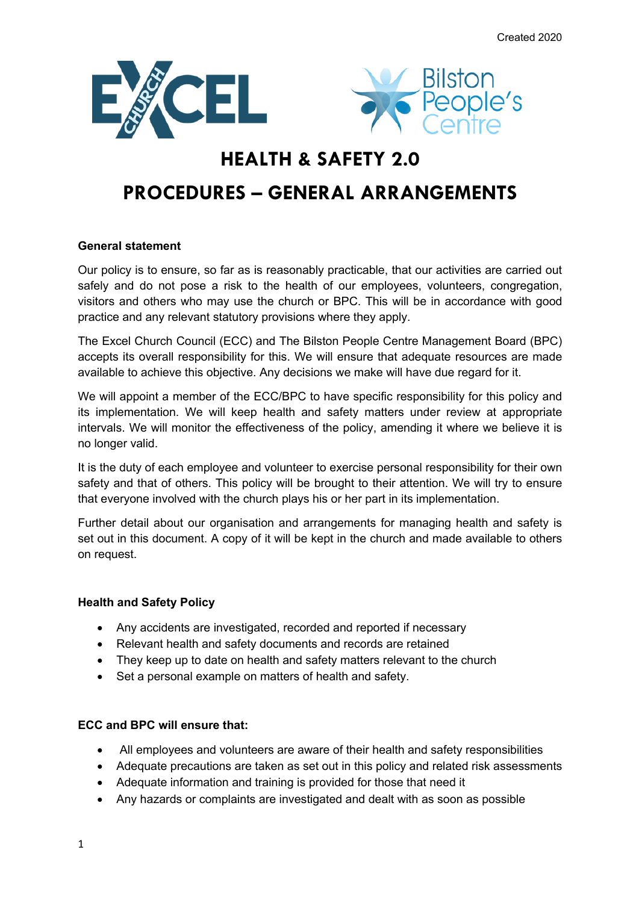



# **HEALTH & SAFETY 2.0**

# **PROCEDURES – GENERAL ARRANGEMENTS**

# **General statement**

Our policy is to ensure, so far as is reasonably practicable, that our activities are carried out safely and do not pose a risk to the health of our employees, volunteers, congregation, visitors and others who may use the church or BPC. This will be in accordance with good practice and any relevant statutory provisions where they apply.

The Excel Church Council (ECC) and The Bilston People Centre Management Board (BPC) accepts its overall responsibility for this. We will ensure that adequate resources are made available to achieve this objective. Any decisions we make will have due regard for it.

We will appoint a member of the ECC/BPC to have specific responsibility for this policy and its implementation. We will keep health and safety matters under review at appropriate intervals. We will monitor the effectiveness of the policy, amending it where we believe it is no longer valid.

It is the duty of each employee and volunteer to exercise personal responsibility for their own safety and that of others. This policy will be brought to their attention. We will try to ensure that everyone involved with the church plays his or her part in its implementation.

Further detail about our organisation and arrangements for managing health and safety is set out in this document. A copy of it will be kept in the church and made available to others on request.

## **Health and Safety Policy**

- Any accidents are investigated, recorded and reported if necessary
- Relevant health and safety documents and records are retained
- They keep up to date on health and safety matters relevant to the church
- Set a personal example on matters of health and safety.

## **ECC and BPC will ensure that:**

- All employees and volunteers are aware of their health and safety responsibilities
- Adequate precautions are taken as set out in this policy and related risk assessments
- Adequate information and training is provided for those that need it
- Any hazards or complaints are investigated and dealt with as soon as possible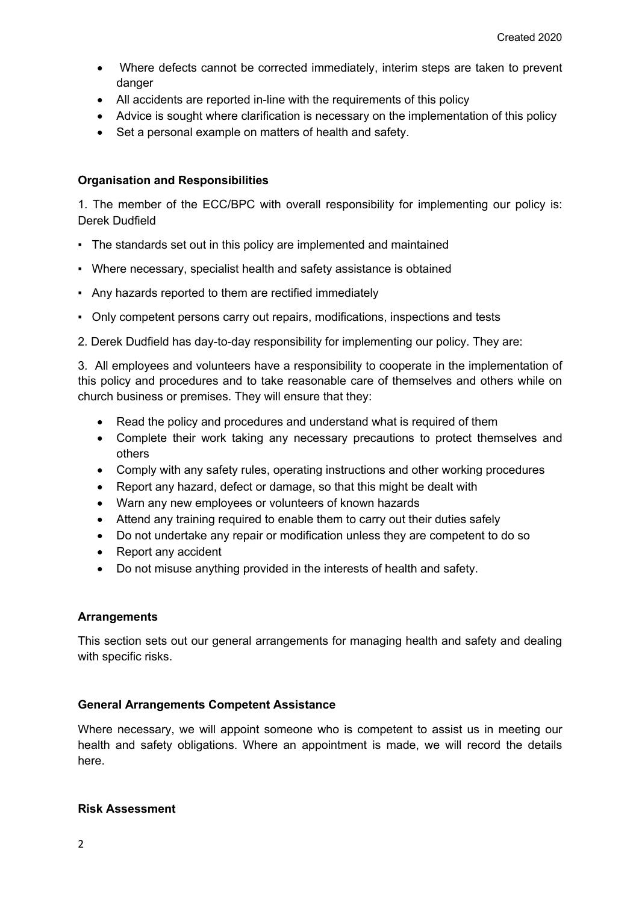- Where defects cannot be corrected immediately, interim steps are taken to prevent danger
- All accidents are reported in-line with the requirements of this policy
- Advice is sought where clarification is necessary on the implementation of this policy
- Set a personal example on matters of health and safety.

## **Organisation and Responsibilities**

1. The member of the ECC/BPC with overall responsibility for implementing our policy is: Derek Dudfield

- The standards set out in this policy are implemented and maintained
- Where necessary, specialist health and safety assistance is obtained
- Any hazards reported to them are rectified immediately
- Only competent persons carry out repairs, modifications, inspections and tests
- 2. Derek Dudfield has day-to-day responsibility for implementing our policy. They are:

3. All employees and volunteers have a responsibility to cooperate in the implementation of this policy and procedures and to take reasonable care of themselves and others while on church business or premises. They will ensure that they:

- Read the policy and procedures and understand what is required of them
- Complete their work taking any necessary precautions to protect themselves and others
- Comply with any safety rules, operating instructions and other working procedures
- Report any hazard, defect or damage, so that this might be dealt with
- Warn any new employees or volunteers of known hazards
- Attend any training required to enable them to carry out their duties safely
- Do not undertake any repair or modification unless they are competent to do so
- Report any accident
- Do not misuse anything provided in the interests of health and safety.

## **Arrangements**

This section sets out our general arrangements for managing health and safety and dealing with specific risks.

## **General Arrangements Competent Assistance**

Where necessary, we will appoint someone who is competent to assist us in meeting our health and safety obligations. Where an appointment is made, we will record the details here.

## **Risk Assessment**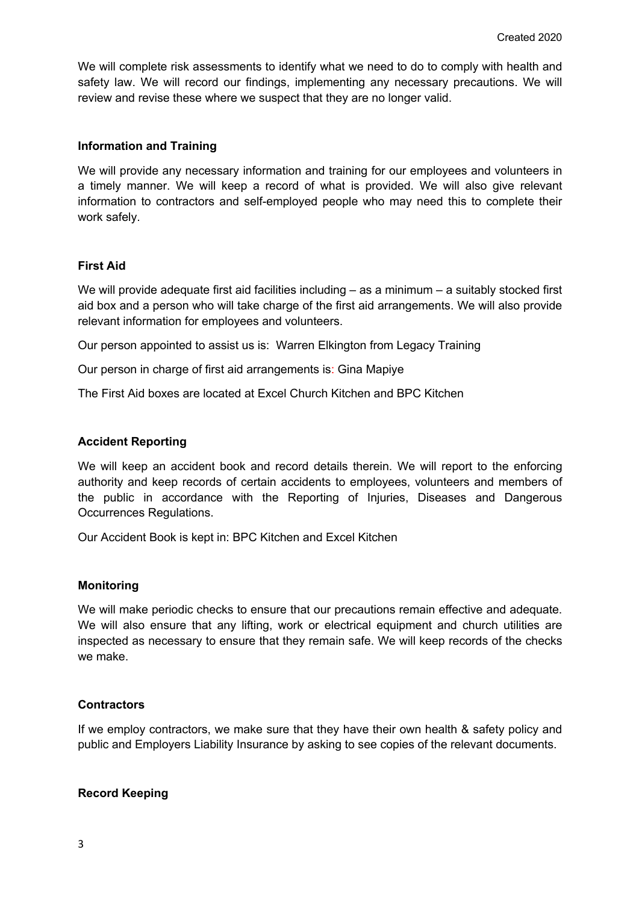We will complete risk assessments to identify what we need to do to comply with health and safety law. We will record our findings, implementing any necessary precautions. We will review and revise these where we suspect that they are no longer valid.

#### **Information and Training**

We will provide any necessary information and training for our employees and volunteers in a timely manner. We will keep a record of what is provided. We will also give relevant information to contractors and self-employed people who may need this to complete their work safely.

## **First Aid**

We will provide adequate first aid facilities including – as a minimum – a suitably stocked first aid box and a person who will take charge of the first aid arrangements. We will also provide relevant information for employees and volunteers.

Our person appointed to assist us is: Warren Elkington from Legacy Training

Our person in charge of first aid arrangements is: Gina Mapiye

The First Aid boxes are located at Excel Church Kitchen and BPC Kitchen

#### **Accident Reporting**

We will keep an accident book and record details therein. We will report to the enforcing authority and keep records of certain accidents to employees, volunteers and members of the public in accordance with the Reporting of Injuries, Diseases and Dangerous Occurrences Regulations.

Our Accident Book is kept in: BPC Kitchen and Excel Kitchen

#### **Monitoring**

We will make periodic checks to ensure that our precautions remain effective and adequate. We will also ensure that any lifting, work or electrical equipment and church utilities are inspected as necessary to ensure that they remain safe. We will keep records of the checks we make.

## **Contractors**

If we employ contractors, we make sure that they have their own health & safety policy and public and Employers Liability Insurance by asking to see copies of the relevant documents.

## **Record Keeping**